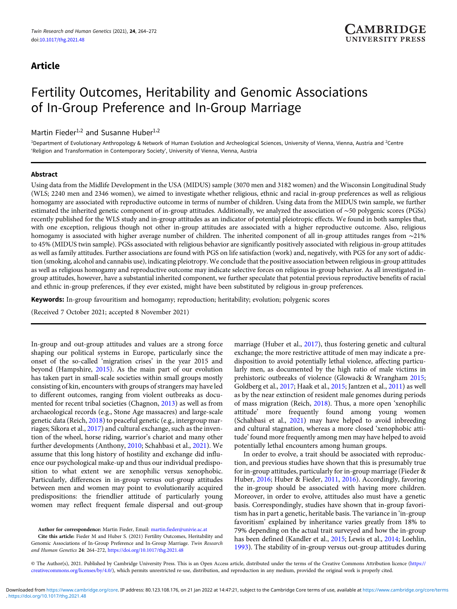# Article

# Fertility Outcomes, Heritability and Genomic Associations of In-Group Preference and In-Group Marriage

# Martin Fieder<sup>1,2</sup> and Susanne Huber<sup>1,2</sup>

<sup>1</sup>Department of Evolutionary Anthropology & Network of Human Evolution and Archeological Sciences, University of Vienna, Vienna, Austria and <sup>2</sup>Centre 'Religion and Transformation in Contemporary Society', University of Vienna, Vienna, Austria

## Abstract

Using data from the Midlife Development in the USA (MIDUS) sample (3070 men and 3182 women) and the Wisconsin Longitudinal Study (WLS; 2240 men and 2346 women), we aimed to investigate whether religious, ethnic and racial in-group preferences as well as religious homogamy are associated with reproductive outcome in terms of number of children. Using data from the MIDUS twin sample, we further estimated the inherited genetic component of in-group attitudes. Additionally, we analyzed the association of ∼50 polygenic scores (PGSs) recently published for the WLS study and in-group attitudes as an indicator of potential pleiotropic effects. We found in both samples that, with one exception, religious though not other in-group attitudes are associated with a higher reproductive outcome. Also, religious homogamy is associated with higher average number of children. The inherited component of all in-group attitudes ranges from ∼21% to 45% (MIDUS twin sample). PGSs associated with religious behavior are significantly positively associated with religious in-group attitudes as well as family attitudes. Further associations are found with PGS on life satisfaction (work) and, negatively, with PGS for any sort of addiction (smoking, alcohol and cannabis use), indicating pleiotropy. We conclude that the positive association between religious in-group attitudes as well as religious homogamy and reproductive outcome may indicate selective forces on religious in-group behavior. As all investigated ingroup attitudes, however, have a substantial inherited component, we further speculate that potential previous reproductive benefits of racial and ethnic in-group preferences, if they ever existed, might have been substituted by religious in-group preferences.

Keywords: In-group favouritism and homogamy; reproduction; heritability; evolution; polygenic scores

(Received 7 October 2021; accepted 8 November 2021)

In-group and out-group attitudes and values are a strong force shaping our political systems in Europe, particularly since the onset of the so-called 'migration crises' in the year 2015 and beyond (Hampshire, [2015\)](#page-7-0). As the main part of our evolution has taken part in small-scale societies within small groups mostly consisting of kin, encounters with groups of strangers may have led to different outcomes, ranging from violent outbreaks as documented for recent tribal societies (Chagnon, [2013\)](#page-7-0) as well as from archaeological records (e.g., Stone Age massacres) and large-scale genetic data (Reich, [2018](#page-8-0)) to peaceful genetic (e.g., intergroup marriages; Sikora et al., [2017\)](#page-8-0) and cultural exchange, such as the invention of the wheel, horse riding, warrior's chariot and many other further developments (Anthony, [2010](#page-7-0); Schahbasi et al., [2021\)](#page-8-0). We assume that this long history of hostility and exchange did influence our psychological make-up and thus our individual predisposition to what extent we are xenophilic versus xenophobic. Particularly, differences in in-group versus out-group attitudes between men and women may point to evolutionarily acquired predispositions: the friendlier attitude of particularly young women may reflect frequent female dispersal and out-group

Author for correspondence: Martin Fieder, Email: [martin.fieder@univie.ac.at](mailto:martin.fieder@univie.ac.at)

Cite this article: Fieder M and Huber S. (2021) Fertility Outcomes, Heritability and Genomic Associations of In-Group Preference and In-Group Marriage. Twin Research and Human Genetics 24: 264–272, <https://doi.org/10.1017/thg.2021.48>

marriage (Huber et al., [2017\)](#page-7-0), thus fostering genetic and cultural exchange; the more restrictive attitude of men may indicate a predisposition to avoid potentially lethal violence, affecting particularly men, as documented by the high ratio of male victims in prehistoric outbreaks of violence (Glowacki & Wrangham [2015](#page-7-0); Goldberg et al., [2017;](#page-7-0) Haak et al., [2015;](#page-7-0) Jantzen et al., [2011](#page-7-0)) as well as by the near extinction of resident male genomes during periods of mass migration (Reich, [2018](#page-8-0)). Thus, a more open 'xenophilic attitude' more frequently found among young women (Schahbasi et al., [2021\)](#page-8-0) may have helped to avoid inbreeding and cultural stagnation, whereas a more closed 'xenophobic attitude' found more frequently among men may have helped to avoid potentially lethal encounters among human groups.

In order to evolve, a trait should be associated with reproduction, and previous studies have shown that this is presumably true for in-group attitudes, particularly for in-group marriage (Fieder & Huber, [2016;](#page-7-0) Huber & Fieder, [2011,](#page-7-0) [2016\)](#page-7-0). Accordingly, favoring the in-group should be associated with having more children. Moreover, in order to evolve, attitudes also must have a genetic basis. Correspondingly, studies have shown that in-group favoritism has in part a genetic, heritable basis. The variance in 'in-group favoritism' explained by inheritance varies greatly from 18% to 79% depending on the actual trait surveyed and how the in-group has been defined (Kandler et al., [2015](#page-7-0); Lewis et al., [2014;](#page-8-0) Loehlin, [1993\)](#page-8-0). The stability of in-group versus out-group attitudes during

© The Author(s), 2021. Published by Cambridge University Press. This is an Open Access article, distributed under the terms of the Creative Commons Attribution licence [\(https://](https://creativecommons.org/licenses/by/4.0/) [creativecommons.org/licenses/by/4.0/\)](https://creativecommons.org/licenses/by/4.0/), which permits unrestricted re-use, distribution, and reproduction in any medium, provided the original work is properly cited.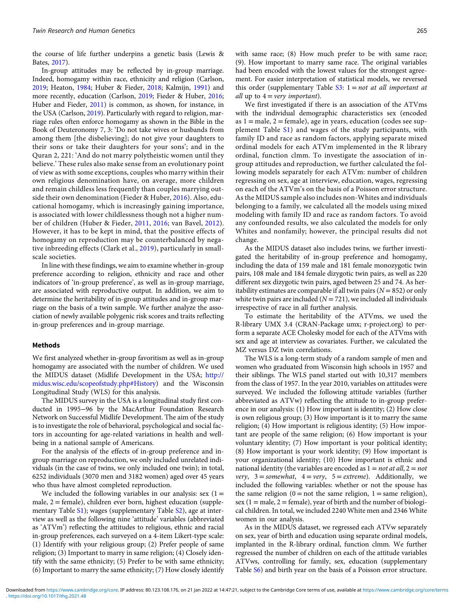the course of life further underpins a genetic basis (Lewis & Bates, [2017](#page-8-0)).

In-group attitudes may be reflected by in-group marriage. Indeed, homogamy within race, ethnicity and religion (Carlson, [2019](#page-7-0); Heaton, [1984;](#page-7-0) Huber & Fieder, [2018;](#page-7-0) Kalmijn, [1991\)](#page-7-0) and more recently, education (Carlson, [2019](#page-7-0); Fieder & Huber, [2016;](#page-7-0) Huber and Fieder, [2011](#page-7-0)) is common, as shown, for instance, in the USA (Carlson, [2019](#page-7-0)). Particularly with regard to religion, marriage rules often enforce homogamy as shown in the Bible in the Book of Deuteronomy 7, 3: 'Do not take wives or husbands from among them [the disbelieving]; do not give your daughters to their sons or take their daughters for your sons'; and in the Quran 2, 221: 'And do not marry polytheistic women until they believe.' These rules also make sense from an evolutionary point of view as with some exceptions, couples who marry within their own religious denomination have, on average, more children and remain childless less frequently than couples marrying outside their own denomination (Fieder & Huber, [2016\)](#page-7-0). Also, educational homogamy, which is increasingly gaining importance, is associated with lower childlessness though not a higher number of children (Huber & Fieder, [2011](#page-7-0), [2016](#page-7-0); van Bavel, [2012](#page-8-0)). However, it has to be kept in mind, that the positive effects of homogamy on reproduction may be counterbalanced by negative inbreeding effects (Clark et al., [2019](#page-7-0)), particularly in smallscale societies.

In line with these findings, we aim to examine whether in-group preference according to religion, ethnicity and race and other indicators of 'in-group preference', as well as in-group marriage, are associated with reproductive output. In addition, we aim to determine the heritability of in-group attitudes and in-group marriage on the basis of a twin sample. We further analyze the association of newly available polygenic risk scores and traits reflecting in-group preferences and in-group marriage.

## Methods

We first analyzed whether in-group favoritism as well as in-group homogamy are associated with the number of children. We used the MIDUS dataset (Midlife Development in the USA; [http://](http://midus.wisc.edu/scopeofstudy.php#History) [midus.wisc.edu/scopeofstudy.php#History\)](http://midus.wisc.edu/scopeofstudy.php#History) and the Wisconsin Longitudinal Study (WLS) for this analysis.

The MIDUS survey in the USA is a longitudinal study first conducted in 1995−96 by the MacArthur Foundation Research Network on Successful Midlife Development. The aim of the study is to investigate the role of behavioral, psychological and social factors in accounting for age-related variations in health and wellbeing in a national sample of Americans.

For the analysis of the effects of in-group preference and ingroup marriage on reproduction, we only included unrelated individuals (in the case of twins, we only included one twin); in total, 6252 individuals (3070 men and 3182 women) aged over 45 years who thus have almost completed reproduction.

We included the following variables in our analysis: sex  $(1 =$ male,  $2$  = female), children ever born, highest education (supple-mentary Table [S1](https://doi.org/10.1017/thg.2021.48)); wages (supplementary Table [S2](https://doi.org/10.1017/thg.2021.48)), age at interview as well as the following nine 'attitude' variables (abbreviated as 'ATVm') reflecting the attitudes to religious, ethnic and racial in-group preferences, each surveyed on a 4-item Likert-type scale: (1) Identify with your religious group; (2) Prefer people of same religion; (3) Important to marry in same religion; (4) Closely identify with the same ethnicity; (5) Prefer to be with same ethnicity; (6) Important to marry the same ethnicity; (7) How closely identify

with same race; (8) How much prefer to be with same race; (9). How important to marry same race. The original variables had been encoded with the lowest values for the strongest agreement. For easier interpretation of statistical models, we reversed this order (supplementary Table  $S3$ :  $1 = not$  at all important at all up to  $4 = \text{very important}$ .

We first investigated if there is an association of the ATVms with the individual demographic characteristics sex (encoded as  $1 =$  male,  $2 =$  female), age in years, education (codes see supplement Table [S1\)](https://doi.org/10.1017/thg.2021.48) and wages of the study participants, with family ID and race as random factors, applying separate mixed ordinal models for each ATVm implemented in the R library ordinal, function clmm. To investigate the association of ingroup attitudes and reproduction, we further calculated the following models separately for each ATVm: number of children regressing on sex, age at interview, education, wages, regressing on each of the ATVm's on the basis of a Poisson error structure. As the MIDUS sample also includes non-Whites and individuals belonging to a family, we calculated all the models using mixed modeling with family ID and race as random factors. To avoid any confounded results, we also calculated the models for only Whites and nonfamily; however, the principal results did not change.

As the MIDUS dataset also includes twins, we further investigated the heritability of in-group preference and homogamy, including the data of 159 male and 181 female monozygotic twin pairs, 108 male and 184 female dizygotic twin pairs, as well as 220 different sex dizygotic twin pairs, aged between 25 and 74. As heritability estimates are comparable if all twin pairs ( $N = 852$ ) or only white twin pairs are included ( $N = 721$ ), we included all individuals irrespective of race in all further analysis.

To estimate the heritability of the ATVms, we used the R-library UMX 3.4 (CRAN-Package umx; r-project.org) to perform a separate ACE Cholesky model for each of the ATVms with sex and age at interview as covariates. Further, we calculated the MZ versus DZ twin correlations.

The WLS is a long-term study of a random sample of men and women who graduated from Wisconsin high schools in 1957 and their siblings. The WLS panel started out with 10,317 members from the class of 1957. In the year 2010, variables on attitudes were surveyed. We included the following attitude variables (further abbreviated as ATVw) reflecting the attitude to in-group preference in our analysis: (1) How important is identity; (2) How close is own religious group; (3) How important is it to marry the same religion; (4) How important is religious identity; (5) How important are people of the same religion; (6) How important is your voluntary identity; (7) How important is your political identity; (8) How important is your work identity; (9) How important is your organizational identity; (10) How important is ethnic and national identity (the variables are encoded as  $1 = not$  at all,  $2 = not$ very,  $3 =$ somewhat,  $4 =$ very,  $5 =$ extreme). Additionally, we included the following variables: whether or not the spouse has the same religion  $(0 = not the same religion, 1 = same religion)$ , sex  $(1 = male, 2 = female)$ , year of birth and the number of biological children. In total, we included 2240 White men and 2346 White women in our analysis.

As in the MIDUS dataset, we regressed each ATVw separately on sex, year of birth and education using separate ordinal models, implanted in the R-library ordinal, function clmm. We further regressed the number of children on each of the attitude variables ATVws, controlling for family, sex, education (supplementary Table [S6\)](https://doi.org/10.1017/thg.2021.48) and birth year on the basis of a Poisson error structure.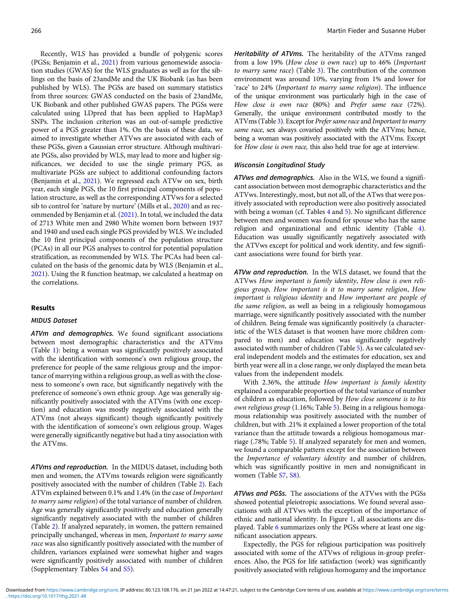Recently, WLS has provided a bundle of polygenic scores (PGSs; Benjamin et al., [2021](#page-7-0)) from various genomewide association studies (GWAS) for the WLS graduates as well as for the siblings on the basis of 23andMe and the UK Biobank (as has been published by WLS). The PGSs are based on summary statistics from three sources: GWAS conducted on the basis of 23andMe, UK Biobank and other published GWAS papers. The PGSs were calculated using LDpred that has been applied to HapMap3 SNPs. The inclusion criterion was an out-of-sample predictive power of a PGS greater than 1%. On the basis of these data, we aimed to investigate whether ATVws are associated with each of these PGSs, given a Gaussian error structure. Although multivariate PGSs, also provided by WLS, may lead to more and higher significances, we decided to use the single primary PGS, as multivariate PGSs are subject to additional confounding factors (Benjamin et al., [2021](#page-7-0)). We regressed each ATVw on sex, birth year, each single PGS, the 10 first principal components of population structure, as well as the corresponding ATVws for a selected sib to control for 'nature by nurture' (Mills et al., [2020](#page-8-0)) and as recommended by Benjamin et al. ([2021](#page-7-0)). In total, we included the data of 2713 White men and 2980 White women born between 1937 and 1940 and used each single PGS provided by WLS. We included the 10 first principal components of the population structure (PCAs) in all our PGS analyses to control for potential population stratification, as recommended by WLS. The PCAs had been calculated on the basis of the genomic data by WLS (Benjamin et al., [2021\)](#page-7-0). Using the R function heatmap, we calculated a heatmap on the correlations.

#### Results

# MIDUS Dataset

ATVm and demographics. We found significant associations between most demographic characteristics and the ATVms (Table [1\)](#page-3-0): being a woman was significantly positively associated with the identification with someone's own religious group, the preference for people of the same religious group and the importance of marrying within a religious group, as well as with the closeness to someone's own race, but significantly negatively with the preference of someone's own ethnic group. Age was generally significantly positively associated with the ATVms (with one exception) and education was mostly negatively associated with the ATVms (not always significant) though significantly positively with the identification of someone's own religious group. Wages were generally significantly negative but had a tiny association with the ATVms.

ATVms and reproduction. In the MIDUS dataset, including both men and women, the ATVms towards religion were significantly positively associated with the number of children (Table [2\)](#page-3-0). Each ATVm explained between 0.1% and 1.4% (in the case of Important to marry same religion) of the total variance of number of children. Age was generally significantly positively and education generally significantly negatively associated with the number of children (Table [2](#page-3-0)). If analyzed separately, in women, the pattern remained principally unchanged, whereas in men, Important to marry same race was also significantly positively associated with the number of children, variances explained were somewhat higher and wages were significantly positively associated with number of children (Supplementary Tables [S4](https://doi.org/10.1017/thg.2021.48) and [S5](https://doi.org/10.1017/thg.2021.48)).

Heritability of ATVms. The heritability of the ATVms ranged from a low 19% (How close is own race) up to 46% (Important to marry same race) (Table [3\)](#page-3-0). The contribution of the common environment was around 10%, varying from 1% and lower for 'race' to 24% (Important to marry same religion). The influence of the unique environment was particularly high in the case of How close is own race (80%) and Prefer same race (72%). Generally, the unique environment contributed mostly to the ATVms (Table [3\)](#page-3-0). Except for Prefer same race and Important to marry same race, sex always covaried positively with the ATVms; hence, being a woman was positively associated with the ATVms. Except for How close is own race, this also held true for age at interview.

# Wisconsin Longitudinal Study

ATVws and demographics. Also in the WLS, we found a significant association between most demographic characteristics and the ATVws. Interestingly, most, but not all, of the ATws that were positively associated with reproduction were also positively associated with being a woman (cf. Tables [4](#page-4-0) and [5\)](#page-4-0). No significant difference between men and women was found for spouse who has the same religion and organizational and ethnic identity (Table [4](#page-4-0)). Education was usually significantly negatively associated with the ATVws except for political and work identity, and few significant associations were found for birth year.

ATVw and reproduction. In the WLS dataset, we found that the ATVws How important is family identity, How close is own religious group, How important is it to marry same religion, How important is religious identity and How important are people of the same religion, as well as being in a religiously homogamous marriage, were significantly positively associated with the number of children. Being female was significantly positively (a characteristic of the WLS dataset is that women have more children compared to men) and education was significantly negatively associated with number of children (Table [5\)](#page-4-0). As we calculated several independent models and the estimates for education, sex and birth year were all in a close range, we only displayed the mean beta values from the independent models.

With 2.36%, the attitude How important is family identity explained a comparable proportion of the total variance of number of children as education, followed by How close someone is to his own religious group (1.16%; Table [5\)](#page-4-0). Being in a religious homogamous relationship was positively associated with the number of children, but with .21% it explained a lower proportion of the total variance than the attitude towards a religious homogamous marriage (.78%; Table [5](#page-4-0)). If analyzed separately for men and women, we found a comparable pattern except for the association between the Importance of voluntary identity and number of children, which was significantly positive in men and nonsignificant in women (Table [S7,](https://doi.org/10.1017/thg.2021.48) [S8\)](https://doi.org/10.1017/thg.2021.48).

ATVws and PGSs. The associations of the ATVws with the PGSs showed potential pleiotropic associations. We found several associations with all ATVws with the exception of the importance of ethnic and national identity. In Figure [1](#page-5-0), all associations are displayed. Table [6](#page-6-0) summarizes only the PGSs where at least one significant association appears.

Expectedly, the PGS for religious participation was positively associated with some of the ATVws of religious in-group preferences. Also, the PGS for life satisfaction (work) was significantly positively associated with religious homogamy and the importance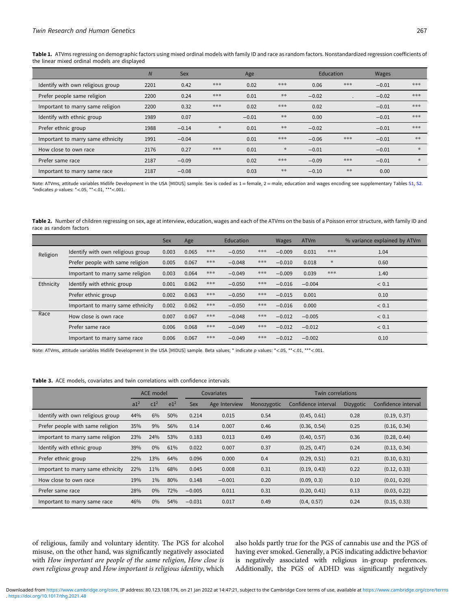<span id="page-3-0"></span>Table 1. ATVms regressing on demographic factors using mixed ordinal models with family ID and race as random factors. Nonstandardized regression coefficients of the linear mixed ordinal models are displayed

|                                   | $\overline{N}$ | <b>Sex</b> |        | Age     |        | Education |     | <b>Wages</b> |        |
|-----------------------------------|----------------|------------|--------|---------|--------|-----------|-----|--------------|--------|
| Identify with own religious group | 2201           | 0.42       | ***    | 0.02    | ***    | 0.06      | *** | $-0.01$      | ***    |
| Prefer people same religion       | 2200           | 0.24       | ***    | 0.01    | $***$  | $-0.02$   |     | $-0.02$      | ***    |
| Important to marry same religion  | 2200           | 0.32       | ***    | 0.02    | ***    | 0.02      |     | $-0.01$      | ***    |
| Identify with ethnic group        | 1989           | 0.07       |        | $-0.01$ | $***$  | 0.00      |     | $-0.01$      | ***    |
| Prefer ethnic group               | 1988           | $-0.14$    | $\ast$ | 0.01    | $***$  | $-0.02$   |     | $-0.01$      | ***    |
| Important to marry same ethnicity | 1991           | $-0.04$    |        | 0.01    | ***    | $-0.06$   | *** | $-0.01$      | **     |
| How close to own race             | 2176           | 0.27       | ***    | 0.01    | $\ast$ | $-0.01$   |     | $-0.01$      | $\ast$ |
| Prefer same race                  | 2187           | $-0.09$    |        | 0.02    | ***    | $-0.09$   | *** | $-0.01$      | $\ast$ |
| Important to marry same race      | 2187           | $-0.08$    |        | 0.03    | $***$  | $-0.10$   | **  | 0.00         |        |

Note: ATVms, attitude variables Midlife Development in the USA [MIDUS] sample. Sex is coded as  $1 =$  female,  $2 =$  male, education and wages encoding see supplementary Tables [S1,](https://doi.org/10.1017/thg.2021.48) [S2.](https://doi.org/10.1017/thg.2021.48) \*indicates  $p$  values: \*<.05, \*\*<.01, \*\*\*<.001.

Table 2. Number of children regressing on sex, age at interview, education, wages and each of the ATVms on the basis of a Poisson error structure, with family ID and race as random factors

|           |                                   | Sex   | Age   |     | Education |     | Wages    | <b>ATVm</b> |        | % variance explained by ATVm |
|-----------|-----------------------------------|-------|-------|-----|-----------|-----|----------|-------------|--------|------------------------------|
| Religion  | Identify with own religious group | 0.003 | 0.065 | *** | $-0.050$  | *** | $-0.009$ | 0.031       | ***    | 1.04                         |
|           | Prefer people with same religion  | 0.005 | 0.067 | *** | $-0.048$  | *** | $-0.010$ | 0.018       | $\ast$ | 0.60                         |
|           | Important to marry same religion  | 0.003 | 0.064 | *** | $-0.049$  | *** | $-0.009$ | 0.039       | ***    | 1.40                         |
| Ethnicity | Identify with ethnic group        | 0.001 | 0.062 | *** | $-0.050$  | *** | $-0.016$ | $-0.004$    |        | < 0.1                        |
|           | Prefer ethnic group               | 0.002 | 0.063 | *** | $-0.050$  | *** | $-0.015$ | 0.001       |        | 0.10                         |
|           | Important to marry same ethnicity | 0.002 | 0.062 | *** | $-0.050$  | *** | $-0.016$ | 0.000       |        | < 0.1                        |
| Race      | How close is own race             | 0.007 | 0.067 | *** | $-0.048$  | *** | $-0.012$ | $-0.005$    |        | < 0.1                        |
|           | Prefer same race                  | 0.006 | 0.068 | *** | $-0.049$  | *** | $-0.012$ | $-0.012$    |        | < 0.1                        |
|           | Important to marry same race      | 0.006 | 0.067 | *** | $-0.049$  | *** | $-0.012$ | $-0.002$    |        | 0.10                         |

Note: ATVms, attitude variables Midlife Development in the USA [MIDUS] sample. Beta values; \* indicate p values: \*<.05, \*\*<.01, \*\*\*<.001.

#### Table 3. ACE models, covariates and twin correlations with confidence intervals

|                                   |                 | ACE model       |                 |            | Covariates    | <b>Twin correlations</b> |                     |           |                     |  |  |  |
|-----------------------------------|-----------------|-----------------|-----------------|------------|---------------|--------------------------|---------------------|-----------|---------------------|--|--|--|
|                                   | a1 <sup>2</sup> | c1 <sup>2</sup> | e1 <sup>2</sup> | <b>Sex</b> | Age Interview | Monozygotic              | Confidence interval | Dizygotic | Confidence interval |  |  |  |
| Identify with own religious group | 44%             | 6%              | 50%             | 0.214      | 0.015         | 0.54                     | (0.45, 0.61)        | 0.28      | (0.19, 0.37)        |  |  |  |
| Prefer people with same religion  | 35%             | $9\%$           | 56%             | 0.14       | 0.007         | 0.46                     | (0.36, 0.54)        | 0.25      | (0.16, 0.34)        |  |  |  |
| important to marry same religion  | 23%             | 24%             | 53%             | 0.183      | 0.013         | 0.49                     | (0.40, 0.57)        | 0.36      | (0.28, 0.44)        |  |  |  |
| Identify with ethnic group        | 39%             | $0\%$           | 61%             | 0.022      | 0.007         | 0.37                     | (0.25, 0.47)        | 0.24      | (0.13, 0.34)        |  |  |  |
| Prefer ethnic group               | 22%             | 13%             | 64%             | 0.096      | 0.000         | 0.4                      | (0.29, 0.51)        | 0.21      | (0.10, 0.31)        |  |  |  |
| important to marry same ethnicity | 22%             | 11%             | 68%             | 0.045      | 0.008         | 0.31                     | (0.19, 0.43)        | 0.22      | (0.12, 0.33)        |  |  |  |
| How close to own race             | 19%             | $1\%$           | 80%             | 0.148      | $-0.001$      | 0.20                     | (0.09, 0.3)         | 0.10      | (0.01, 0.20)        |  |  |  |
| Prefer same race                  | 28%             | $0\%$           | 72%             | $-0.005$   | 0.011         | 0.31                     | (0.20, 0.41)        | 0.13      | (0.03, 0.22)        |  |  |  |
| Important to marry same race      | 46%             | $0\%$           | 54%             | $-0.031$   | 0.017         | 0.49                     | (0.4, 0.57)         | 0.24      | (0.15, 0.33)        |  |  |  |

of religious, family and voluntary identity. The PGS for alcohol misuse, on the other hand, was significantly negatively associated with How important are people of the same religion, How close is own religious group and How important is religious identity, which also holds partly true for the PGS of cannabis use and the PGS of having ever smoked. Generally, a PGS indicating addictive behavior is negatively associated with religious in-group preferences. Additionally, the PGS of ADHD was significantly negatively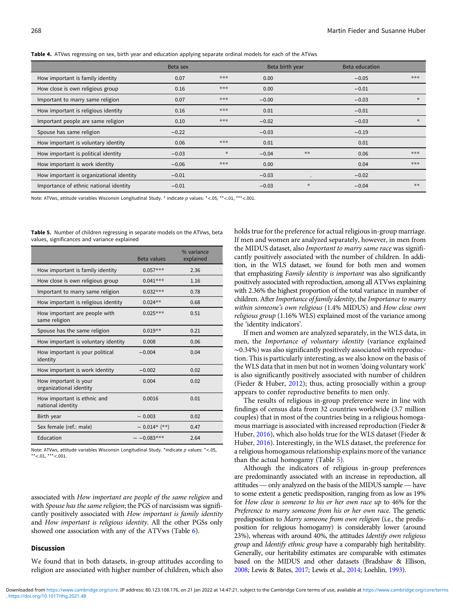<span id="page-4-0"></span>

|  | Table 4. ATVws regressing on sex, birth year and education applying separate ordinal models for each of the ATVws |  |  |  |  |  |
|--|-------------------------------------------------------------------------------------------------------------------|--|--|--|--|--|
|--|-------------------------------------------------------------------------------------------------------------------|--|--|--|--|--|

|                                          | Beta sex |        | Beta birth year |           | Beta education |        |
|------------------------------------------|----------|--------|-----------------|-----------|----------------|--------|
| How important is family identity         | 0.07     | ***    | 0.00            |           | $-0.05$        | ***    |
| How close is own religious group         | 0.16     | ***    | 0.00            |           | $-0.01$        |        |
| Important to marry same religion         | 0.07     | ***    | $-0.00$         |           | $-0.03$        | *      |
| How important is religious identity      | 0.16     | ***    | 0.01            |           | $-0.01$        |        |
| Important people are same religion       | 0.10     | ***    | $-0.02$         |           | $-0.03$        | $\ast$ |
| Spouse has same religion                 | $-0.22$  |        | $-0.03$         |           | $-0.19$        |        |
| How important is voluntary identity      | 0.06     | ***    | 0.01            |           | 0.01           |        |
| How important is political identity      | $-0.03$  | $\ast$ | $-0.04$         | $**$      | 0.06           | ***    |
| How important is work identity           | $-0.06$  | ***    | 0.00            |           | 0.04           | ***    |
| How important is organizational identity | $-0.01$  |        | $-0.03$         | $\bullet$ | $-0.02$        |        |
| Importance of ethnic national identity   | $-0.01$  |        | $-0.03$         | *         | $-0.04$        | **     |

Note: ATVws, attitude variables Wisconsin Longitudinal Study. \* indicate p values: \*<.05, \*\*<.01, \*\*\*<.001.

Table 5. Number of children regressing in separate models on the ATVws, beta values, significances and variance explained

|                                                  | Beta values        | % variance<br>explained |
|--------------------------------------------------|--------------------|-------------------------|
| How important is family identity                 | $0.057***$         | 2.36                    |
| How close is own religious group                 | $0.041***$         | 1.16                    |
| Important to marry same religion                 | $0.032***$         | 0.78                    |
| How important is religious identity              | $0.024**$          | 0.68                    |
| How important are people with<br>same religion   | $0.025***$         | 0.51                    |
| Spouse has the same religion                     | $0.019**$          | 0.21                    |
| How important is voluntary identity              | 0.008              | 0.06                    |
| How important is your political<br>identity      | $-0.004$           | 0.04                    |
| How important is work Identity                   | $-0.002$           | 0.02                    |
| How important is your<br>organizational identity | 0.004              | 0.02                    |
| How important is ethnic and<br>national identity | 0.0016             | 0.01                    |
| Birth year                                       | $\sim 0.003$       | 0.02                    |
| Sex female (ref.: male)                          | $\sim 0.014*$ (**) | 0.47                    |
| Education                                        | $\sim -0.083***$   | 2.64                    |

Note: ATVws, attitude variables Wisconsin Longitudinal Study. \*indicate  $p$  values: \*<.05 \*\*<.01, \*\*\*<.001.

associated with How important are people of the same religion and with *Spouse has the same religion*; the PGS of narcissism was significantly positively associated with How important is family identity and How important is religious identity. All the other PGSs only showed one association with any of the ATVws (Table [6](#page-6-0)).

# Discussion

We found that in both datasets, in-group attitudes according to religion are associated with higher number of children, which also

holds true for the preference for actual religious in-group marriage. If men and women are analyzed separately, however, in men from the MIDUS dataset, also Important to marry same race was significantly positively associated with the number of children. In addition, in the WLS dataset, we found for both men and women that emphasizing Family identity is important was also significantly positively associated with reproduction, among all ATVws explaining with 2.36% the highest proportion of the total variance in number of children. After Importance of family identity, the Importance to marry within someone's own religious (1.4% MIDUS) and How close own religious group (1.16% WLS) explained most of the variance among the 'identity indicators'.

If men and women are analyzed separately, in the WLS data, in men, the Importance of voluntary identity (variance explained ∼0.34%) was also significantly positively associated with reproduction. This is particularly interesting, as we also know on the basis of the WLS data that in men but not in women 'doing voluntary work' is also significantly positively associated with number of children (Fieder & Huber, [2012](#page-7-0)); thus, acting prosocially within a group appears to confer reproductive benefits to men only.

The results of religious in-group preference were in line with findings of census data from 32 countries worldwide (3.7 million couples) that in most of the countries being in a religious homogamous marriage is associated with increased reproduction (Fieder & Huber, [2016](#page-7-0)), which also holds true for the WLS dataset (Fieder & Huber, [2016](#page-7-0)). Interestingly, in the WLS dataset, the preference for a religious homogamous relationship explains more of the variance than the actual homogamy (Table 5).

Although the indicators of religious in-group preferences are predominantly associated with an increase in reproduction, all a rengious nomogamous relationship explains more of the variance<br>than the actual homogamy (Table 5).<br>Although the indicators of religious in-group preferences<br>are predominantly associated with an increase in reproduction, to some extent a genetic predisposition, ranging from as low as 19% for How close is someone to his or her own race up to 46% for the Preference to marry someone from his or her own race. The genetic predisposition to Marry someone from own religion (i.e., the predisposition for religious homogamy) is considerably lower (around 23%), whereas with around 40%, the attitudes Identify own religious group and Identify ethnic group have a comparably high heritability. Generally, our heritability estimates are comparable with estimates based on the MIDUS and other datasets (Bradshaw & Ellison, [2008;](#page-7-0) Lewis & Bates, [2017;](#page-8-0) Lewis et al., [2014](#page-8-0); Loehlin, [1993\)](#page-8-0).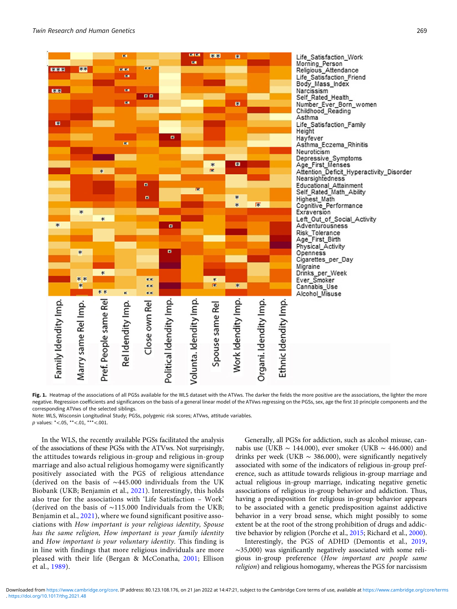<span id="page-5-0"></span>

Fig. 1. Heatmap of the associations of all PGSs available for the WLS dataset with the ATVws. The darker the fields the more positive are the associations, the lighter the more negative. Regression coefficients and significances on the basis of a general linear model of the ATVws regressing on the PGSs, sex, age the first 10 principle components and the corresponding ATVws of the selected siblings.

Note: WLS, Wisconsin Longitudinal Study; PGSs, polygenic risk scores; ATVws, attitude variables.

p values: \*<.05, \*\*<.01, \*\*\*<.001.

In the WLS, the recently available PGSs facilitated the analysis of the associations of these PGSs with the ATVws. Not surprisingly, the attitudes towards religious in-group and religious in-group marriage and also actual religious homogamy were significantly positively associated with the PGS of religious attendance (derived on the basis of ∼445.000 individuals from the UK Biobank (UKB; Benjamin et al., [2021\)](#page-7-0). Interestingly, this holds also true for the associations with 'Life Satisfaction – Work' (derived on the basis of ∼115.000 Individuals from the UKB; Benjamin et al., [2021](#page-7-0)), where we found significant positive associations with How important is your religious identity, Spouse has the same religion, How important is your family identity and How important is your voluntary identity. This finding is in line with findings that more religious individuals are more pleased with their life (Bergan & McConatha, [2001](#page-7-0); Ellison et al., [1989](#page-7-0)).

Generally, all PGSs for addiction, such as alcohol misuse, cannabis use (UKB ~ 144.000), ever smoker (UKB ~ 446.000) and drinks per week (UKB  $\sim$  386.000), were significantly negatively associated with some of the indicators of religious in-group preference, such as attitude towards religious in-group marriage and actual religious in-group marriage, indicating negative genetic associations of religious in-group behavior and addiction. Thus, having a predisposition for religious in-group behavior appears to be associated with a genetic predisposition against addictive behavior in a very broad sense, which might possibly to some extent be at the root of the strong prohibition of drugs and addictive behavior by religion (Porche et al., [2015;](#page-8-0) Richard et al., [2000\)](#page-8-0).

Interestingly, the PGS of ADHD (Demontis et al., [2019,](#page-7-0) ∼35,000) was significantly negatively associated with some religious in-group preference (How important are people same religion) and religious homogamy, whereas the PGS for narcissism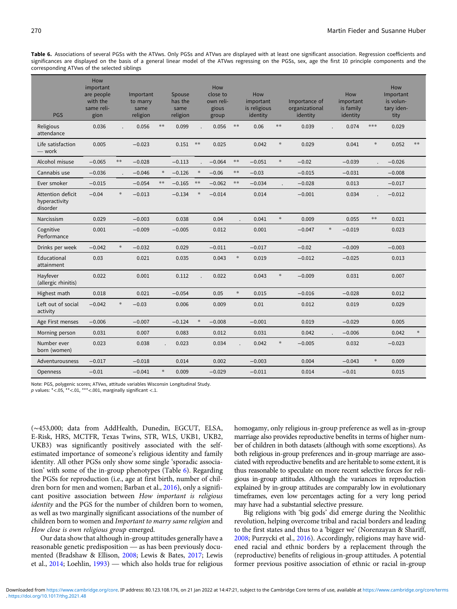<span id="page-6-0"></span>Table 6. Associations of several PGSs with the ATVws. Only PGSs and ATVws are displayed with at least one significant association. Regression coefficients and significances are displayed on the basis of a general linear model of the ATVws regressing on the PGSs, sex, age the first 10 principle components and the corresponding ATVws of the selected siblings

| <b>PGS</b>                                     | How<br>important<br>are people<br>with the<br>same reli-<br>gion |        | Important<br>to marry<br>same<br>religion |        | Spouse<br>has the<br>same<br>religion |            | How<br>close to<br>own reli-<br>gious<br>group |        | How<br>important<br>is religious<br>identity |        | Importance of<br>organizational<br>identity | How<br>important<br>is family<br>identity |        | How<br>Important<br>is volun-<br>tary iden-<br>tity |        |
|------------------------------------------------|------------------------------------------------------------------|--------|-------------------------------------------|--------|---------------------------------------|------------|------------------------------------------------|--------|----------------------------------------------|--------|---------------------------------------------|-------------------------------------------|--------|-----------------------------------------------------|--------|
| Religious<br>attendance                        | 0.036                                                            |        | 0.056                                     | $***$  | 0.099                                 |            | 0.056                                          | **     | 0.06                                         | $***$  | 0.039                                       | 0.074                                     | $***$  | 0.029                                               |        |
| Life satisfaction<br>- work                    | 0.005                                                            |        | $-0.023$                                  |        | 0.151                                 | $\ast\ast$ | 0.025                                          |        | 0.042                                        | $\ast$ | 0.029                                       | 0.041                                     | $\ast$ | 0.052                                               | $**$   |
| Alcohol misuse                                 | $-0.065$                                                         | $***$  | $-0.028$                                  |        | $-0.113$                              |            | $-0.064$                                       | $***$  | $-0.051$                                     | $\ast$ | $-0.02$                                     | $-0.039$                                  |        | $-0.026$                                            |        |
| Cannabis use                                   | $-0.036$                                                         |        | $-0.046$                                  | $\ast$ | $-0.126$                              | $\ast$     | $-0.06$                                        | $***$  | $-0.03$                                      |        | $-0.015$                                    | $-0.031$                                  |        | $-0.008$                                            |        |
| Ever smoker                                    | $-0.015$                                                         |        | $-0.054$                                  | $***$  | $-0.165$                              | $***$      | $-0.062$                                       | $***$  | $-0.034$                                     |        | $-0.028$                                    | 0.013                                     |        | $-0.017$                                            |        |
| Attention deficit<br>hyperactivity<br>disorder | $-0.04$                                                          | $\ast$ | $-0.013$                                  |        | $-0.134$                              | $\ast$     | $-0.014$                                       |        | 0.014                                        |        | $-0.001$                                    | 0.034                                     |        | $-0.012$                                            |        |
| Narcissism                                     | 0.029                                                            |        | $-0.003$                                  |        | 0.038                                 |            | 0.04                                           |        | 0.041                                        | $\ast$ | 0.009                                       | 0.055                                     | $**$   | 0.021                                               |        |
| Cognitive<br>Performance                       | 0.001                                                            |        | $-0.009$                                  |        | $-0.005$                              |            | 0.012                                          |        | 0.001                                        |        | $-0.047$                                    | $\ast$<br>$-0.019$                        |        | 0.023                                               |        |
| Drinks per week                                | $-0.042$                                                         | $\ast$ | $-0.032$                                  |        | 0.029                                 |            | $-0.011$                                       |        | $-0.017$                                     |        | $-0.02$                                     | $-0.009$                                  |        | $-0.003$                                            |        |
| Educational<br>attainment                      | 0.03                                                             |        | 0.021                                     |        | 0.035                                 |            | 0.043                                          | $\ast$ | 0.019                                        |        | $-0.012$                                    | $-0.025$                                  |        | 0.013                                               |        |
| Hayfever<br>(allergic rhinitis)                | 0.022                                                            |        | 0.001                                     |        | 0.112                                 |            | 0.022                                          |        | 0.043                                        | $\ast$ | $-0.009$                                    | 0.031                                     |        | 0.007                                               |        |
| Highest math                                   | 0.018                                                            |        | 0.021                                     |        | $-0.054$                              |            | 0.05                                           | $\ast$ | 0.015                                        |        | $-0.016$                                    | $-0.028$                                  |        | 0.012                                               |        |
| Left out of social<br>activity                 | $-0.042$                                                         | $\ast$ | $-0.03$                                   |        | 0.006                                 |            | 0.009                                          |        | 0.01                                         |        | 0.012                                       | 0.019                                     |        | 0.029                                               |        |
| Age First menses                               | $-0.006$                                                         |        | $-0.007$                                  |        | $-0.124$                              | $\ast$     | $-0.008$                                       |        | $-0.001$                                     |        | 0.019                                       | $-0.029$                                  |        | 0.005                                               |        |
| Morning person                                 | 0.031                                                            |        | 0.007                                     |        | 0.083                                 |            | 0.012                                          |        | 0.031                                        |        | 0.042                                       | $-0.006$                                  |        | 0.042                                               | $\ast$ |
| Number ever<br>born (women)                    | 0.023                                                            |        | 0.038                                     |        | 0.023                                 |            | 0.034                                          |        | 0.042                                        | $\ast$ | $-0.005$                                    | 0.032                                     |        | $-0.023$                                            |        |
| Adventurousness                                | $-0.017$                                                         |        | $-0.018$                                  |        | 0.014                                 |            | 0.002                                          |        | $-0.003$                                     |        | 0.004                                       | $-0.043$                                  | $\ast$ | 0.009                                               |        |
| <b>Openness</b>                                | $-0.01$                                                          |        | $-0.041$                                  | $\ast$ | 0.009                                 |            | $-0.029$                                       |        | $-0.011$                                     |        | 0.014                                       | $-0.01$                                   |        | 0.015                                               |        |

Note: PGS, polygenic scores; ATVws, attitude variables Wisconsin Longitudinal Study.  $p$  values:  $*<.05$ ,  $**<.01$ ,  $***<.001$ , marginally significant <.1.

(∼453,000; data from AddHealth, Dunedin, EGCUT, ELSA, E-Risk, HRS, MCTFR, Texas Twins, STR, WLS, UKB1, UKB2, UKB3) was significantly positively associated with the selfestimated importance of someone's religious identity and family identity. All other PGSs only show some single 'sporadic association' with some of the in-group phenotypes (Table 6). Regarding the PGSs for reproduction (i.e., age at first birth, number of children born for men and women; Barban et al., [2016](#page-7-0)), only a significant positive association between How important is religious identity and the PGS for the number of children born to women, as well as two marginally significant associations of the number of children born to women and Important to marry same religion and How close is own religious group emerged. as well as two marginally significant associations of the number of<br>children born to women and *Important to marry same religion* and<br>*How close is own religious group* emerged.<br>Our data show that although in-group attitud

Our data show that although in-group attitudes generally have a mented (Bradshaw & Ellison, [2008](#page-7-0); Lewis & Bates, [2017](#page-8-0); Lewis Frow close is own religious group emerged.<br>
Our data show that although in-group attitudes generally have a<br>
reasonable genetic predisposition — as has been previously docu-<br>
mented (Bradshaw & Ellison, 2008; Lewis & Bates

homogamy, only religious in-group preference as well as in-group marriage also provides reproductive benefits in terms of higher number of children in both datasets (although with some exceptions). As both religious in-group preferences and in-group marriage are associated with reproductive benefits and are heritable to some extent, it is thus reasonable to speculate on more recent selective forces for religious in-group attitudes. Although the variances in reproduction explained by in-group attitudes are comparably low in evolutionary timeframes, even low percentages acting for a very long period may have had a substantial selective pressure.

Big religions with 'big gods' did emerge during the Neolithic revolution, helping overcome tribal and racial borders and leading to the first states and thus to a 'bigger we' (Norenzayan & Shariff, [2008;](#page-8-0) Purzycki et al., [2016\)](#page-8-0). Accordingly, religions may have widened racial and ethnic borders by a replacement through the (reproductive) benefits of religious in-group attitudes. A potential former previous positive association of ethnic or racial in-group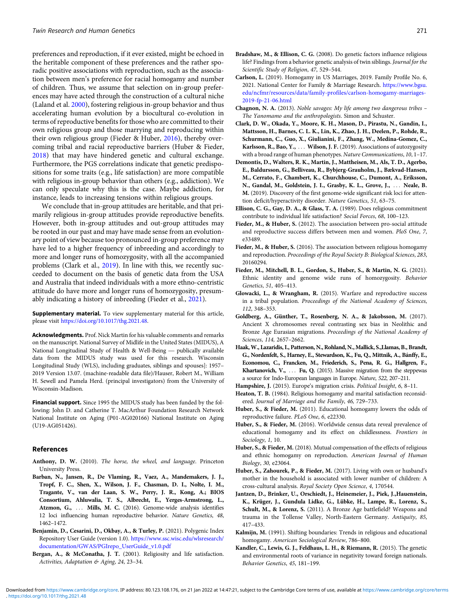<span id="page-7-0"></span>preferences and reproduction, if it ever existed, might be echoed in the heritable component of these preferences and the rather sporadic positive associations with reproduction, such as the association between men's preference for racial homogamy and number of children. Thus, we assume that selection on in-group preferences may have acted through the construction of a cultural niche (Laland et al. [2000\)](#page-8-0), fostering religious in-group behavior and thus accelerating human evolution by a biocultural co-evolution in terms of reproductive benefits for those who are committed to their own religious group and those marrying and reproducing within their own religious group (Fieder & Huber, 2016), thereby overcoming tribal and racial reproductive barriers (Huber & Fieder, 2018) that may have hindered genetic and cultural exchange. Furthermore, the PGS correlations indicate that genetic predispositions for some traits (e.g., life satisfaction) are more compatible with religious in-group behavior than others (e.g., addiction). We can only speculate why this is the case. Maybe addiction, for instance, leads to increasing tensions within religious groups.

We conclude that in-group attitudes are heritable, and that primarily religious in-group attitudes provide reproductive benefits. However, both in-group attitudes and out-group attitudes may be rooted in our past and may have made sense from an evolutionary point of view because too pronounced in-group preference may have led to a higher frequency of inbreeding and accordingly to more and longer runs of homozygosity, with all the accompanied problems (Clark et al., 2019). In line with this, we recently succeeded to document on the basis of genetic data from the USA and Australia that indeed individuals with a more ethno-centristic attitude do have more and longer runs of homozygosity, presumably indicating a history of inbreeding (Fieder et al., 2021).

Supplementary material. To view supplementary material for this article, please visit <https://doi.org/10.1017/thg.2021.48>.

Acknowledgments. Prof. Nick Martin for his valuable comments and remarks on the manuscript. National Survey of Midlife in the United States (MIDUS), A please visit https://dol.org/10.101//uig.2021.46.<br>**Acknowledgments.** Prof. Nick Martin for his valuable comments and remarks<br>on the manuscript. National Survey of Midlife in the United States (MIDUS), A<br>National Longitudin data from the MIDUS study was used for this research. Wisconsin Longitudinal Study (WLS), including graduates, siblings and spouses]: 1957– 2019 Version 13.07. (machine-readable data file)/Hauser, Robert M., William H. Sewell and Pamela Herd. (principal investigators) from the University of Wisconsin-Madison.

Financial support. Since 1995 the MIDUS study has been funded by the following: John D. and Catherine T. MacArthur Foundation Research Network National Institute on Aging (P01-AG020166) National Institute on Aging (U19-AG051426).

#### References

- Anthony, D. W. (2010). The horse, the wheel, and language. Princeton University Press.
- Barban, N., Jansen, R., De Vlaming, R., Vaez, A., Mandemakers, J. J., Tropf, F. C., Shen, X., Wilson, J. F., Chasman, D. I., Nolte, I. M., Tragante, V., van der Laan, S. W., Perry, J. R., Kong, A.; BIOS Consortium, Ahluwalia, T. S., Albrecht, E., Yerges-Armstrong, L., Atzmon, G., ... Mills, M. C. (2016). Genome-wide analysis identifies 12 loci influencing human reproductive behavior. Nature Genetics, 48, 1462–1472.
- Benjamin, D., Cesarini, D., Okbay, A., & Turley, P. (2021). Polygenic Index Repository User Guide (version 1.0). [https://www.ssc.wisc.edu/wlsresearch/](https://www.ssc.wisc.edu/wlsresearch/documentation/GWAS/PGIrepo_UserGuide_v1.0.pdf) [documentation/GWAS/PGIrepo\\_UserGuide\\_v1.0.pdf](https://www.ssc.wisc.edu/wlsresearch/documentation/GWAS/PGIrepo_UserGuide_v1.0.pdf)
- Bergan, A., & McConatha, J. T. (2001). Religiosity and life satisfaction. Activities, Adaptation & Aging, 24, 23–34.
- Carlson, L. (2019). Homogamy in US Marriages, 2019. Family Profile No. 6, 2021. National Center for Family & Marriage Research. [https://www.bgsu.](https://www.bgsu.edu/ncfmr/resources/data/family-profiles/carlson-homogamy-marriages-2019-fp-21-06.html) [edu/ncfmr/resources/data/family-profiles/carlson-homogamy-marriages-](https://www.bgsu.edu/ncfmr/resources/data/family-profiles/carlson-homogamy-marriages-2019-fp-21-06.html)[2019-fp-21-06.html](https://www.bgsu.edu/ncfmr/resources/data/family-profiles/carlson-homogamy-marriages-2019-fp-21-06.html)
- Chagnon, N. A. (2013). Noble savages: My life among two dangerous tribes The Yanomamo and the anthropologists. Simon and Schuster.
- Clark, D. W., Okada, Y., Moore, K. H., Mason, D., Pirastu, N., Gandin, I., Mattsson, H., Barnes, C. L. K., Lin, K., Zhao, J. H., Deelen, P., Rohde, R., Schurmann, C., Guo, X., Giulianini, F., Zhang, W., Medina-Gomez, C., Karlsson, R., Bao, Y., ... Wilson, J. F. (2019). Associations of autozygosity with a broad range of human phenotypes. Nature Communications, 10, 1-17.
- Demontis, D., Walters, R. K., Martin, J., Mattheisen, M., Als, T. D., Agerbo, E., Baldursson, G., Belliveau, R., Bybjerg-Grauholm, J., Bækvad-Hansen, M., Cerrato, F., Chambert, K., Churchhouse, C., Dumont, A., Eriksson, N., Gandal, M., Goldstein, J. I., Grasby, K. L., Grove, J., ::: Neale, B. M. (2019). Discovery of the first genome-wide significant risk loci for attention deficit/hyperactivity disorder. Nature Genetics, 51, 63–75.
- Ellison, C. G., Gay, D. A., & Glass, T. A. (1989). Does religious commitment contribute to individual life satisfaction? Social Forces, 68, 100–123.
- Fieder, M., & Huber, S. (2012). The association between pro-social attitude and reproductive success differs between men and women. PloS One, 7, e33489.
- Fieder, M., & Huber, S. (2016). The association between religious homogamy and reproduction. Proceedings of the Royal Society B: Biological Sciences, 283, 20160294.
- Fieder, M., Mitchell, B. L., Gordon, S., Huber, S., & Martin, N. G. (2021). Ethnic identity and genome wide runs of homozygosity. Behavior Genetics, 51, 405–413.
- Glowacki, L., & Wrangham, R. (2015). Warfare and reproductive success in a tribal population. Proceedings of the National Academy of Sciences, 112, 348–353.
- Goldberg, A., Günther, T., Rosenberg, N. A., & Jakobsson, M. (2017). Ancient X chromosomes reveal contrasting sex bias in Neolithic and Bronze Age Eurasian migrations. Proceedings of the National Academy of Sciences, 114, 2657–2662.
- Haak,W., Lazaridis, I., Patterson, N., Rohland, N., Mallick, S.,Llamas, B., Brandt, G., Nordenfelt, S., Harney, E., Stewardson, K., Fu, Q., Mittnik, A., Bánffy, E., Economou, C., Francken, M., Friederich, S., Pena, R. G., Hallgren, F., Khartanovich, V., ... Fu, Q. (2015). Massive migration from the steppewas a source for Indo-European languages in Europe. Nature, 522, 207–211.
- Hampshire, J. (2015). Europe's migration crisis. Political Insight, 6, 8-11.
- Heaton, T. B. (1984). Religious homogamy and marital satisfaction reconsidered. Journal of Marriage and the Family, 46, 729–733.
- Huber, S., & Fieder, M. (2011). Educational homogamy lowers the odds of reproductive failure. PLoS One, 6, e22330.
- Huber, S., & Fieder, M. (2016). Worldwide census data reveal prevalence of educational homogamy and its effect on childlessness. Frontiers in Sociology, 1, 10.
- Huber, S., & Fieder, M. (2018). Mutual compensation of the effects of religious and ethnic homogamy on reproduction. American Journal of Human Biology, 30, e23064.
- Huber, S., Zahourek, P., & Fieder, M. (2017). Living with own or husband's mother in the household is associated with lower number of children: A cross-cultural analysis. Royal Society Open Science, 4, 170544.
- Jantzen, D., Brinker, U., Orschiedt, J., Heinemeier, J., Piek, J.,Hauenstein, K., Krüger, J., Gundula Lidke, G., Lübke, H., Lampe, R., Lorenz, S., Schult, M., & Lorenz, S. (2011). A Bronze Age battlefield? Weapons and trauma in the Tollense Valley, North-Eastern Germany. Antiquity, 85, 417–433.
- Kalmijn, M. (1991). Shifting boundaries: Trends in religious and educational homogamy. American Sociological Review, 786–800.
- Kandler, C., Lewis, G. J., Feldhaus, L. H., & Riemann, R. (2015). The genetic and environmental roots of variance in negativity toward foreign nationals. Behavior Genetics, 45, 181–199.